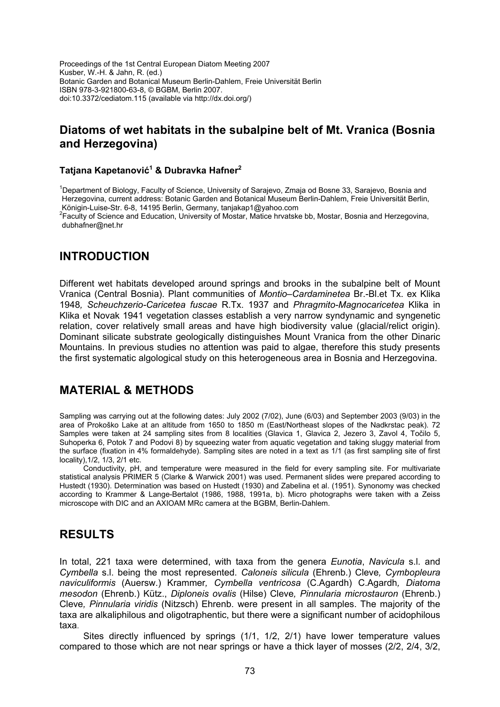Proceedings of the 1st Central European Diatom Meeting 2007 Kusber, W.-H. & Jahn, R. (ed.) Botanic Garden and Botanical Museum Berlin-Dahlem, Freie Universität Berlin ISBN 978-3-921800-63-8, © BGBM, Berlin 2007. doi:10.3372/cediatom.115 (available via http://dx.doi.org/)

## **Diatoms of wet habitats in the subalpine belt of Mt. Vranica (Bosnia and Herzegovina)**

### **Tatjana Kapetanović<sup>1</sup> & Dubravka Hafner2**

<sup>1</sup>Department of Biology, Faculty of Science, University of Sarajevo, Zmaja od Bosne 33, Sarajevo, Bosnia and Herzegovina, current address: Botanic Garden and Botanical Museum Berlin-Dahlem, Freie Universität Berlin, Königin-Luise-Str. 6-8, 14195 Berlin, Germany, tanjakap1@yahoo.com

<sup>2</sup> Faculty of Science and Education, University of Mostar, Matice hrvatske bb, Mostar, Bosnia and Herzegovina, dubhafner@net.hr

## **INTRODUCTION**

Different wet habitats developed around springs and brooks in the subalpine belt of Mount Vranica (Central Bosnia). Plant communities of *Montio–Cardaminetea* Br.-Bl.et Tx. ex Klika 1948*, Scheuchzerio-Caricetea fuscae* R.Tx. 1937 and *Phragmito-Magnocaricetea* Klika in Klika et Novak 1941 vegetation classes establish a very narrow syndynamic and syngenetic relation, cover relatively small areas and have high biodiversity value (glacial/relict origin). Dominant silicate substrate geologically distinguishes Mount Vranica from the other Dinaric Mountains. In previous studies no attention was paid to algae, therefore this study presents the first systematic algological study on this heterogeneous area in Bosnia and Herzegovina.

# **MATERIAL & METHODS**

Sampling was carrying out at the following dates: July 2002 (7/02), June (6/03) and September 2003 (9/03) in the area of Prokoško Lake at an altitude from 1650 to 1850 m (East/Northeast slopes of the Nadkrstac peak). 72 Samples were taken at 24 sampling sites from 8 localities (Glavica 1, Glavica 2, Jezero 3, Zavol 4, Točilo 5, Suhoperka 6, Potok 7 and Podovi 8) by squeezing water from aquatic vegetation and taking sluggy material from the surface (fixation in 4% formaldehyde). Sampling sites are noted in a text as 1/1 (as first sampling site of first locality),1/2, 1/3, 2/1 etc.

Conductivity, pH, and temperature were measured in the field for every sampling site. For multivariate statistical analysis PRIMER 5 (Clarke & Warwick 2001) was used. Permanent slides were prepared according to Hustedt (1930). Determination was based on Hustedt (1930) and Zabelina et al. (1951). Synonomy was checked according to Krammer & Lange-Bertalot (1986, 1988, 1991a, b). Micro photographs were taken with a Zeiss microscope with DIC and an AXIOAM MRc camera at the BGBM, Berlin-Dahlem.

# **RESULTS**

In total, 221 taxa were determined, with taxa from the genera *Eunotia*, *Navicula* s.l. and *Cymbella* s.l. being the most represented. *Caloneis silicula* (Ehrenb.) Cleve*, Cymbopleura naviculiformis* (Auersw.) Krammer*, Cymbella ventricosa* (C.Agardh) C.Agardh*, Diatoma mesodon* (Ehrenb.) Kütz., *Diploneis ovalis* (Hilse) Cleve*, Pinnularia microstauron* (Ehrenb.) Cleve*, Pinnularia viridis* (Nitzsch) Ehrenb. were present in all samples. The majority of the taxa are alkaliphilous and oligotraphentic, but there were a significant number of acidophilous taxa.

Sites directly influenced by springs (1/1, 1/2, 2/1) have lower temperature values compared to those which are not near springs or have a thick layer of mosses (2/2, 2/4, 3/2,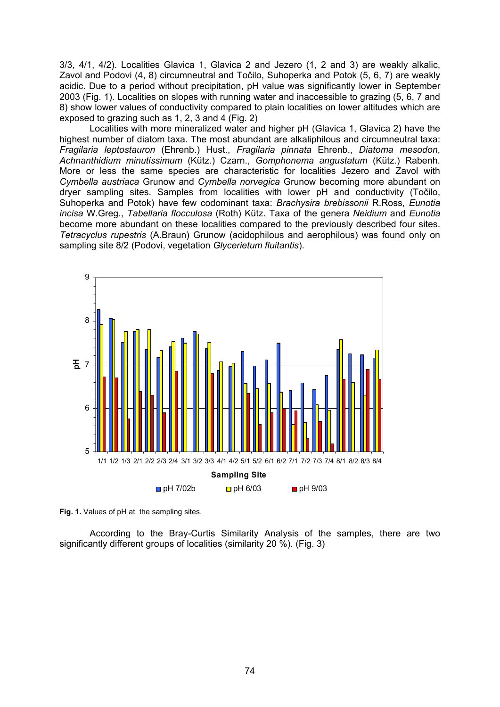3/3, 4/1, 4/2). Localities Glavica 1, Glavica 2 and Jezero (1, 2 and 3) are weakly alkalic, Zavol and Podovi (4, 8) circumneutral and Točilo, Suhoperka and Potok (5, 6, 7) are weakly acidic. Due to a period without precipitation, pH value was significantly lower in September 2003 (Fig. 1). Localities on slopes with running water and inaccessible to grazing (5, 6, 7 and 8) show lower values of conductivity compared to plain localities on lower altitudes which are exposed to grazing such as 1, 2, 3 and 4 (Fig. 2)

Localities with more mineralized water and higher pH (Glavica 1, Glavica 2) have the highest number of diatom taxa. The most abundant are alkaliphilous and circumneutral taxa: *Fragilaria leptostauron* (Ehrenb.) Hust., *Fragilaria pinnata* Ehrenb., *Diatoma mesodon*, *Achnanthidium minutissimum* (Kütz.) Czarn., *Gomphonema angustatum* (Kütz.) Rabenh. More or less the same species are characteristic for localities Jezero and Zavol with *Cymbella austriaca* Grunow and *Cymbella norvegica* Grunow becoming more abundant on dryer sampling sites. Samples from localities with lower pH and conductivity (Točilo, Suhoperka and Potok) have few codominant taxa: *Brachysira brebissonii* R.Ross, *Eunotia incisa* W.Greg., *Tabellaria flocculosa* (Roth) Kütz. Taxa of the genera *Neidium* and *Eunotia* become more abundant on these localities compared to the previously described four sites. *Tetracyclus rupestris* (A.Braun) Grunow (acidophilous and aerophilous) was found only on sampling site 8/2 (Podovi, vegetation *Glycerietum fluitantis*).



**Fig. 1.** Values of pH at the sampling sites.

According to the Bray-Curtis Similarity Analysis of the samples, there are two significantly different groups of localities (similarity 20 %). (Fig. 3)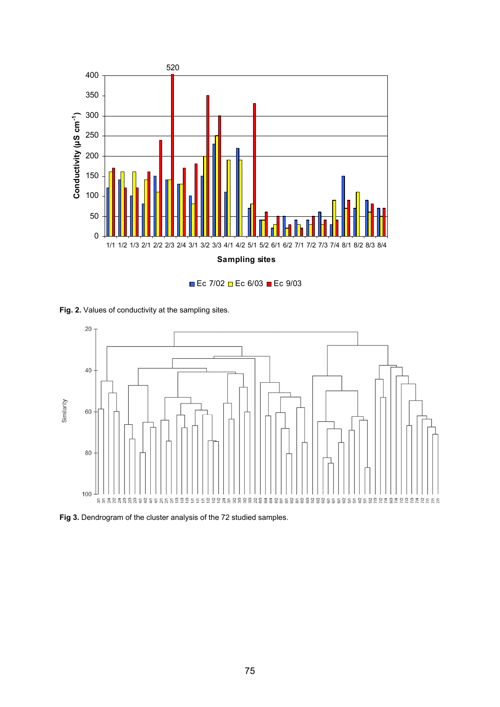

**Ec 7/02 Ec 6/03 ■ Ec 9/03** 

Fig. 2. Values of conductivity at the sampling sites.



**Fig 3.** Dendrogram of the cluster analysis of the 72 studied samples.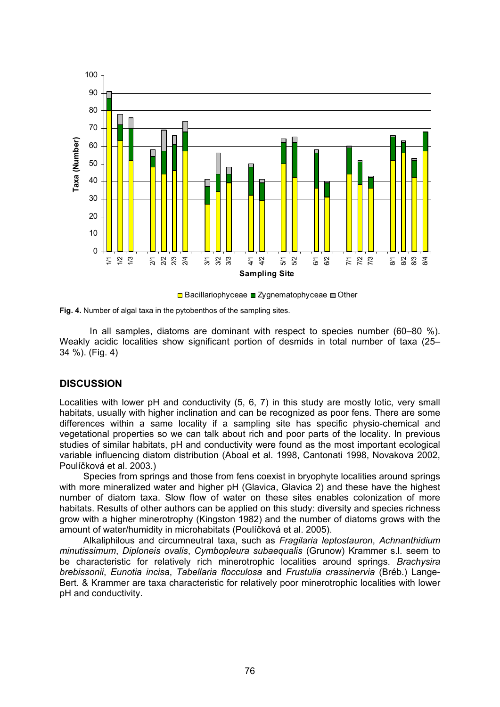





In all samples, diatoms are dominant with respect to species number (60–80 %). Weakly acidic localities show significant portion of desmids in total number of taxa (25– 34 %). (Fig. 4)

### **DISCUSSION**

Localities with lower pH and conductivity (5, 6, 7) in this study are mostly lotic, very small habitats, usually with higher inclination and can be recognized as poor fens. There are some differences within a same locality if a sampling site has specific physio-chemical and vegetational properties so we can talk about rich and poor parts of the locality. In previous studies of similar habitats, pH and conductivity were found as the most important ecological variable influencing diatom distribution (Aboal et al. 1998, Cantonati 1998, Novakova 2002, Poulíčková et al. 2003.)

Species from springs and those from fens coexist in bryophyte localities around springs with more mineralized water and higher pH (Glavica, Glavica 2) and these have the highest number of diatom taxa. Slow flow of water on these sites enables colonization of more habitats. Results of other authors can be applied on this study: diversity and species richness grow with a higher minerotrophy (Kingston 1982) and the number of diatoms grows with the amount of water/humidity in microhabitats (Poulíčková et al. 2005).

Alkaliphilous and circumneutral taxa, such as *Fragilaria leptostauron*, *Achnanthidium minutissimum*, *Diploneis ovalis*, *Cymbopleura subaequalis* (Grunow) Krammer s.l. seem to be characteristic for relatively rich minerotrophic localities around springs. *Brachysira brebissonii*, *Eunotia incisa*, *Tabellaria flocculosa* and *Frustulia crassinervia* (Bréb.) Lange-Bert. & Krammer are taxa characteristic for relatively poor minerotrophic localities with lower pH and conductivity.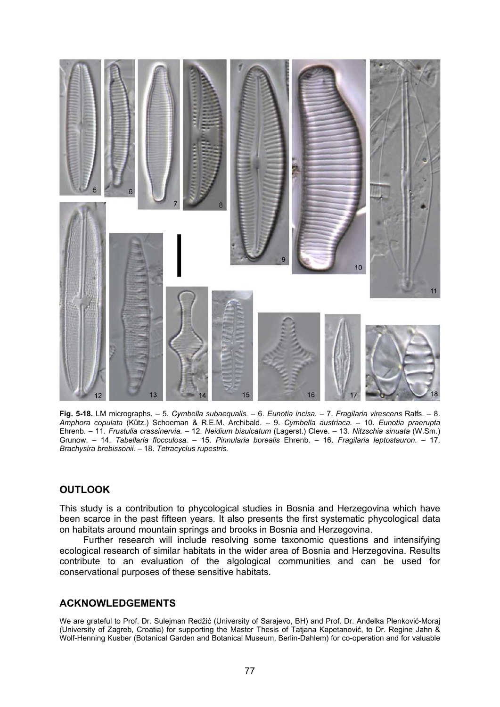

**Fig. 5-18.** LM micrographs. – 5. *Cymbella subaequalis.* – 6. *Eunotia incisa.* – 7. *Fragilaria virescens* Ralfs. – 8. *Amphora copulata* (Kütz.) Schoeman & R.E.M. Archibald. – 9. *Cymbella austriaca.* – 10. *Eunotia praerupta*  Ehrenb. – 11. *Frustulia crassinervia.* – 12. *Neidium bisulcatum* (Lagerst.) Cleve. – 13. *Nitzschia sinuata* (W.Sm.) Grunow. – 14. *Tabellaria flocculosa.* – 15. *Pinnularia borealis* Ehrenb. – 16. *Fragilaria leptostauron.* – 17. *Brachysira brebissonii.* – 18. *Tetracyclus rupestris.* 

### **OUTLOOK**

This study is a contribution to phycological studies in Bosnia and Herzegovina which have been scarce in the past fifteen years. It also presents the first systematic phycological data on habitats around mountain springs and brooks in Bosnia and Herzegovina.

Further research will include resolving some taxonomic questions and intensifying ecological research of similar habitats in the wider area of Bosnia and Herzegovina. Results contribute to an evaluation of the algological communities and can be used for conservational purposes of these sensitive habitats.

### **ACKNOWLEDGEMENTS**

We are grateful to Prof. Dr. Sulejman Redžić (University of Sarajevo, BH) and Prof. Dr. Anđelka Plenković-Moraj (University of Zagreb, Croatia) for supporting the Master Thesis of Tatjana Kapetanović, to Dr. Regine Jahn & Wolf-Henning Kusber (Botanical Garden and Botanical Museum, Berlin-Dahlem) for co-operation and for valuable